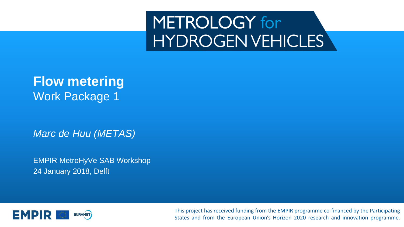## METROLOGY for **HYDROGENVEHICLES**

### **Flow metering** Work Package 1

*Marc de Huu (METAS)*

EMPIR MetroHyVe SAB Workshop 24 January 2018, Delft



This project has received funding from the EMPIR programme co-financed by the Participating States and from the European Union's Horizon 2020 research and innovation programme.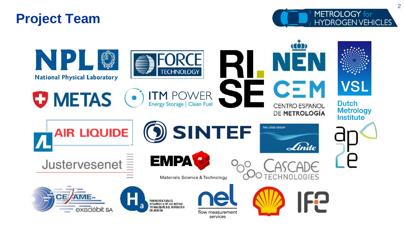### **Project Team**



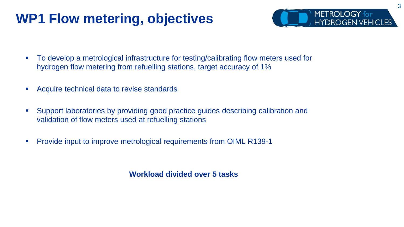### **WP1 Flow metering, objectives**



- To develop a metrological infrastructure for testing/calibrating flow meters used for hydrogen flow metering from refuelling stations, target accuracy of 1%
- Acquire technical data to revise standards
- Support laboratories by providing good practice guides describing calibration and validation of flow meters used at refuelling stations
- Provide input to improve metrological requirements from OIML R139-1

**Workload divided over 5 tasks**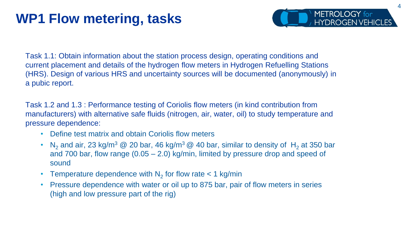### **WP1 Flow metering, tasks**



Task 1.1: Obtain information about the station process design, operating conditions and current placement and details of the hydrogen flow meters in Hydrogen Refuelling Stations (HRS). Design of various HRS and uncertainty sources will be documented (anonymously) in a pubic report.

Task 1.2 and 1.3 : Performance testing of Coriolis flow meters (in kind contribution from manufacturers) with alternative safe fluids (nitrogen, air, water, oil) to study temperature and pressure dependence:

- Define test matrix and obtain Coriolis flow meters
- N<sub>2</sub> and air, 23 kg/m<sup>3</sup> @ 20 bar, 46 kg/m<sup>3</sup> @ 40 bar, similar to density of H<sub>2</sub> at 350 bar and 700 bar, flow range (0.05 – 2.0) kg/min, limited by pressure drop and speed of sound
- Temperature dependence with  $N_2$  for flow rate  $<$  1 kg/min
- Pressure dependence with water or oil up to 875 bar, pair of flow meters in series (high and low pressure part of the rig)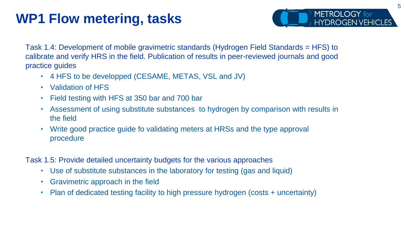### **WP1 Flow metering, tasks**



Task 1.4: Development of mobile gravimetric standards (Hydrogen Field Standards = HFS) to calibrate and verify HRS in the field. Publication of results in peer-reviewed journals and good practice guides

- 4 HFS to be developped (CESAME, METAS, VSL and JV)
- Validation of HFS
- Field testing with HFS at 350 bar and 700 bar
- Assessment of using substitute substances to hydrogen by comparison with results in the field
- Write good practice guide fo validating meters at HRSs and the type approval procedure

Task 1.5: Provide detailed uncertainty budgets for the various approaches

- Use of substitute substances in the laboratory for testing (gas and liquid)
- Gravimetric approach in the field
- Plan of dedicated testing facility to high pressure hydrogen (costs + uncertainty)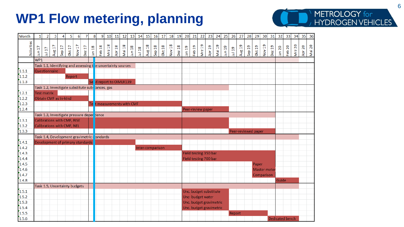### **WP1 Flow metering, planning**



| Month      | $\mathbf{1}$                                                    | $\overline{2}$     | 3                                          | 4      | 5      | 6                      | $\overline{7}$ | 8      | 9                    | 10     | 11                                 | 12     |                           | 13 14                            |                       | 15 16 17 18 19 20     |                         |                        |                       |        | 21                       | 22                | 23                | 24     | 25           | 26     | 27                  | 28     | 29    | 30 <sub>o</sub> | 31            | 32                     | 33     | 34                      | 35     | 36     |
|------------|-----------------------------------------------------------------|--------------------|--------------------------------------------|--------|--------|------------------------|----------------|--------|----------------------|--------|------------------------------------|--------|---------------------------|----------------------------------|-----------------------|-----------------------|-------------------------|------------------------|-----------------------|--------|--------------------------|-------------------|-------------------|--------|--------------|--------|---------------------|--------|-------|-----------------|---------------|------------------------|--------|-------------------------|--------|--------|
| Activities | Jun 17                                                          | Jul 17             | Aug 17                                     | Sep 17 | Okt 17 | $\overline{L}$<br>Nov: | Ħ<br>Dez       | Jan 18 | Feb 18               | Mrz 18 | $\frac{8}{10}$<br>Apr <sub>3</sub> | Mai 18 | $\frac{8}{11}$<br>ءِ<br>ج | $\frac{8}{10}$<br>$\overline{B}$ | $\frac{8}{10}$<br>Aug | $\frac{8}{11}$<br>Sep | <b>Okt 18</b>           | $\frac{8}{11}$<br>Nov: | $\frac{8}{10}$<br>Dez | Jan 19 | $\frac{9}{11}$<br>$F$ eb | Mrz 19            | Apr 19            | Mai 19 | Jun 19       | Jul 19 | Aug 19              | Sep 19 | Okt19 | Nov 19          | <b>Dez 19</b> | Jan 20                 | Feb 20 | $\overline{20}$<br>Mrz: | Apr 20 | Mai 20 |
|            | WP1                                                             |                    |                                            |        |        |                        |                |        |                      |        |                                    |        |                           |                                  |                       |                       |                         |                        |                       |        |                          |                   |                   |        |              |        |                     |        |       |                 |               |                        |        |                         |        |        |
|            | Task 1.1, Identifying and assessing the uncertainty sources     |                    |                                            |        |        |                        |                |        |                      |        |                                    |        |                           |                                  |                       |                       |                         |                        |                       |        |                          |                   |                   |        |              |        |                     |        |       |                 |               |                        |        |                         |        |        |
| 1.1.1      |                                                                 |                    | Questionnaire                              |        |        |                        |                |        |                      |        |                                    |        |                           |                                  |                       |                       |                         |                        |                       |        |                          |                   |                   |        |              |        |                     |        |       |                 |               |                        |        |                         |        |        |
| 1.1.2      |                                                                 |                    |                                            |        | Report |                        |                |        |                      |        |                                    |        |                           |                                  |                       |                       |                         |                        |                       |        |                          |                   |                   |        |              |        |                     |        |       |                 |               |                        |        |                         |        |        |
| 1.1.3      |                                                                 |                    |                                            |        |        |                        |                | Se     | d report to OIMLR139 |        |                                    |        |                           |                                  |                       |                       |                         |                        |                       |        |                          |                   |                   |        |              |        |                     |        |       |                 |               |                        |        |                         |        |        |
|            | Task 1.2, Investigate substitute sub <mark>:</mark> tances, gas |                    |                                            |        |        |                        |                |        |                      |        |                                    |        |                           |                                  |                       |                       |                         |                        |                       |        |                          |                   |                   |        |              |        |                     |        |       |                 |               |                        |        |                         |        |        |
| 1.2.1      |                                                                 | <b>Test matrix</b> |                                            |        |        |                        |                |        |                      |        |                                    |        |                           |                                  |                       |                       |                         |                        |                       |        |                          |                   |                   |        |              |        |                     |        |       |                 |               |                        |        |                         |        |        |
| 1.2.2      |                                                                 |                    | Obtain CMF as in-kind                      |        |        |                        |                |        |                      |        |                                    |        |                           |                                  |                       |                       |                         |                        |                       |        |                          |                   |                   |        |              |        |                     |        |       |                 |               |                        |        |                         |        |        |
| 1.2.3      |                                                                 |                    |                                            |        |        |                        |                | Te     |                      |        |                                    |        | t measurements with CMF   |                                  |                       |                       |                         |                        |                       |        |                          |                   |                   |        |              |        |                     |        |       |                 |               |                        |        |                         |        |        |
| 1.2.4      |                                                                 |                    |                                            |        |        |                        |                |        |                      |        |                                    |        |                           |                                  |                       |                       |                         |                        |                       |        |                          | Peer-review paper |                   |        |              |        |                     |        |       |                 |               |                        |        |                         |        |        |
|            |                                                                 |                    | Task 1.3, Investigate pressure deper dence |        |        |                        |                |        |                      |        |                                    |        |                           |                                  |                       |                       |                         |                        |                       |        |                          |                   |                   |        |              |        |                     |        |       |                 |               |                        |        |                         |        |        |
| 1.3.1      |                                                                 |                    | Calibrations with CMF, RISE                |        |        |                        |                |        |                      |        |                                    |        |                           |                                  |                       |                       |                         |                        |                       |        |                          |                   |                   |        |              |        |                     |        |       |                 |               |                        |        |                         |        |        |
| 1.3.2      |                                                                 |                    | Calibrations with CMF, NEL                 |        |        |                        |                |        |                      |        |                                    |        |                           |                                  |                       |                       |                         |                        |                       |        |                          |                   |                   |        |              |        |                     |        |       |                 |               |                        |        |                         |        |        |
| 1.3.3      |                                                                 |                    |                                            |        |        |                        |                |        |                      |        |                                    |        |                           |                                  |                       |                       |                         |                        |                       |        |                          |                   |                   |        |              |        | Peer-reviewed paper |        |       |                 |               |                        |        |                         |        |        |
|            | Task 1.4, Development gravimetric <mark>:</mark> tandards       |                    |                                            |        |        |                        |                |        |                      |        |                                    |        |                           |                                  |                       |                       |                         |                        |                       |        |                          |                   |                   |        |              |        |                     |        |       |                 |               |                        |        |                         |        |        |
| 1.4.1      |                                                                 |                    | Development of primary standards           |        |        |                        |                |        |                      |        |                                    |        |                           |                                  |                       |                       |                         |                        |                       |        |                          |                   |                   |        |              |        |                     |        |       |                 |               |                        |        |                         |        |        |
| 1.4.2      |                                                                 |                    |                                            |        |        |                        |                |        |                      |        |                                    |        |                           |                                  |                       | Inter-comparison      |                         |                        |                       |        |                          |                   |                   |        |              |        |                     |        |       |                 |               |                        |        |                         |        |        |
| 1.4.3      |                                                                 |                    |                                            |        |        |                        |                |        |                      |        |                                    |        |                           |                                  | Field testing 350 bar |                       |                         |                        |                       |        |                          |                   |                   |        |              |        |                     |        |       |                 |               |                        |        |                         |        |        |
| 1.4.4      |                                                                 |                    |                                            |        |        |                        |                |        |                      |        |                                    |        |                           |                                  | Field testing 700 bar |                       |                         |                        |                       |        |                          |                   |                   |        |              |        |                     |        |       |                 |               |                        |        |                         |        |        |
| 1.4.5      |                                                                 |                    |                                            |        |        |                        |                |        |                      |        |                                    |        |                           |                                  |                       |                       |                         |                        |                       |        |                          |                   |                   | Paper  |              |        |                     |        |       |                 |               |                        |        |                         |        |        |
| 1.4.6      |                                                                 |                    |                                            |        |        |                        |                |        |                      |        |                                    |        |                           |                                  |                       |                       |                         |                        |                       |        |                          |                   |                   |        | Master meter |        |                     |        |       |                 |               |                        |        |                         |        |        |
| 1.4.7      |                                                                 |                    |                                            |        |        |                        |                |        |                      |        |                                    |        |                           |                                  |                       |                       |                         |                        |                       |        |                          |                   |                   |        | Comparison   |        |                     |        |       |                 |               |                        |        |                         |        |        |
| 1.4.8      |                                                                 |                    |                                            |        |        |                        |                |        |                      |        |                                    |        |                           |                                  |                       |                       |                         |                        |                       |        |                          |                   |                   |        |              |        |                     |        |       |                 |               | Guide                  |        |                         |        |        |
|            |                                                                 |                    | Task 1.5, Uncertainty budgets              |        |        |                        |                |        |                      |        |                                    |        |                           |                                  |                       |                       |                         |                        |                       |        |                          |                   |                   |        |              |        |                     |        |       |                 |               |                        |        |                         |        |        |
| 1.5.1      |                                                                 |                    |                                            |        |        |                        |                |        |                      |        |                                    |        |                           |                                  |                       |                       |                         | Unc. budget substitute |                       |        |                          |                   |                   |        |              |        |                     |        |       |                 |               |                        |        |                         |        |        |
| 1.5.2      |                                                                 |                    |                                            |        |        |                        |                |        |                      |        |                                    |        |                           |                                  |                       |                       |                         |                        |                       |        |                          |                   | Unc- budget water |        |              |        |                     |        |       |                 |               |                        |        |                         |        |        |
| 1.5.3      |                                                                 |                    |                                            |        |        |                        |                |        |                      |        |                                    |        |                           |                                  |                       |                       | Unc. budget gravimetric |                        |                       |        |                          |                   |                   |        |              |        |                     |        |       |                 |               |                        |        |                         |        |        |
| 1.5.4      |                                                                 |                    |                                            |        |        |                        |                |        |                      |        |                                    |        |                           | Unc. budget gravimetric          |                       |                       |                         |                        |                       |        |                          |                   |                   |        |              |        |                     |        |       |                 |               |                        |        |                         |        |        |
| 1.5.5      |                                                                 |                    |                                            |        |        |                        |                |        |                      |        |                                    |        |                           |                                  |                       |                       |                         |                        |                       |        |                          |                   |                   |        |              | Report |                     |        |       |                 |               |                        |        |                         |        |        |
| 1.5.6      |                                                                 |                    |                                            |        |        |                        |                |        |                      |        |                                    |        |                           |                                  |                       |                       |                         |                        |                       |        |                          |                   |                   |        |              |        |                     |        |       |                 |               | <b>Dedicated bench</b> |        |                         |        |        |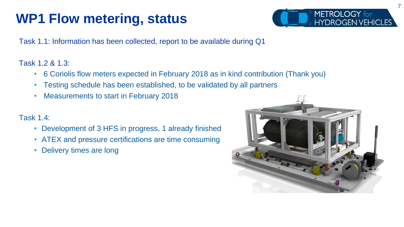### **WP1 Flow metering, status**



Task 1.1: Information has been collected, report to be available during Q1

#### Task 1.2 & 1.3:

- 6 Coriolis flow meters expected in February 2018 as in kind contribution (Thank you)
- Testing schedule has been established, to be validated by all partners
- Measurements to start in February 2018

#### Task 1.4:

- Development of 3 HFS in progress, 1 already finished
- ATEX and pressure certifications are time consuming
- Delivery times are long

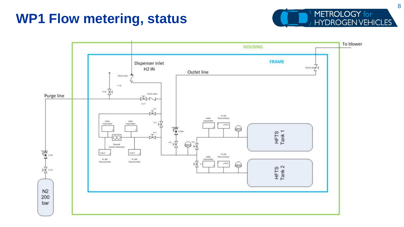### **WP1 Flow metering, status**



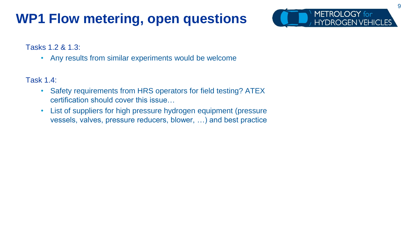### **WP1 Flow metering, open questions**



#### Tasks 1.2 & 1.3:

• Any results from similar experiments would be welcome

#### Task 1.4:

- Safety requirements from HRS operators for field testing? ATEX certification should cover this issue…
- List of suppliers for high pressure hydrogen equipment (pressure vessels, valves, pressure reducers, blower, …) and best practice